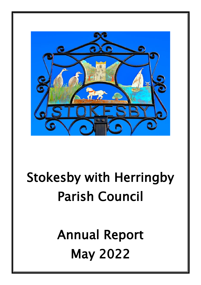

# Stokesby with Herringby Parish Council

Annual Report May 2022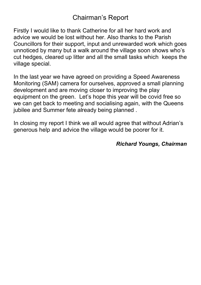### Chairman's Report

Firstly I would like to thank Catherine for all her hard work and advice we would be lost without her. Also thanks to the Parish Councillors for their support, input and unrewarded work which goes unnoticed by many but a walk around the village soon shows who's cut hedges, cleared up litter and all the small tasks which keeps the village special.

In the last year we have agreed on providing a Speed Awareness Monitoring (SAM) camera for ourselves, approved a small planning development and are moving closer to improving the play equipment on the green. Let's hope this year will be covid free so we can get back to meeting and socialising again, with the Queens jubilee and Summer fete already being planned.

In closing my report I think we all would agree that without Adrian's generous help and advice the village would be poorer for it.

#### *Richard Youngs, Chairman*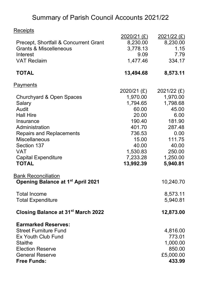## Summary of Parish Council Accounts 2021/22

| Receipts                                       |             |               |
|------------------------------------------------|-------------|---------------|
|                                                | 2020/21 (£) | $2021/22$ (£) |
| Precept, Shortfall & Concurrent Grant          | 8,230.00    | 8,230.00      |
| <b>Grants &amp; Miscelleneous</b>              | 3,778.13    | 1.15          |
| Interest                                       | 9.09        | 7.79          |
| <b>VAT Reclaim</b>                             | 1,477.46    | 334.17        |
| <b>TOTAL</b>                                   | 13,494.68   | 8,573.11      |
| Payments                                       |             |               |
|                                                | 2020/21 (£) | 2021/22 (£)   |
| Churchyard & Open Spaces                       | 1,970.00    | 1,970.00      |
| Salary                                         | 1,794.65    | 1,798.68      |
| Audit                                          | 60.00       | 45.00         |
| <b>Hall Hire</b>                               | 20.00       | 6.00          |
| Insurance                                      | 190.40      | 181.90        |
| Administration                                 | 401.70      | 287.48        |
| <b>Repairs and Replacements</b>                | 736.53      | 0.00          |
| <b>Miscellaneous</b>                           | 15.00       | 111.75        |
| Section 137                                    | 40.00       | 40.00         |
| <b>VAT</b>                                     | 1,530.83    | 250.00        |
| <b>Capital Expenditure</b>                     | 7,233.28    | 1,250.00      |
| <b>TOTAL</b>                                   | 13,992.39   | 5,940.81      |
| <b>Bank Reconciliation</b>                     |             |               |
| <b>Opening Balance at 1st April 2021</b>       |             | 10,240.70     |
| <b>Total Income</b>                            |             | 8,573.11      |
| <b>Total Expenditure</b>                       |             | 5,940.81      |
| Closing Balance at 31 <sup>st</sup> March 2022 |             | 12,873.00     |
| <b>Earmarked Reserves:</b>                     |             |               |
| <b>Street Furniture Fund</b>                   |             | 4,816.00      |
| Ex Youth Club Fund                             |             | 773.01        |
| <b>Staithe</b>                                 |             | 1,000.00      |
| <b>Election Reserve</b>                        |             | 850.00        |
| <b>General Reserve</b>                         |             | £5,000.00     |
| <b>Free Funds:</b>                             |             | 433.99        |